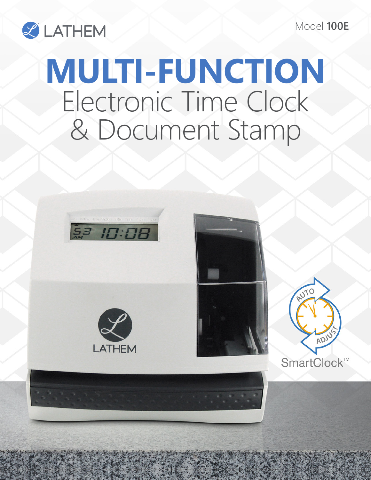Model **100E**



## **MULTI-FUNCTION** Electronic Time Clock & Document Stamp